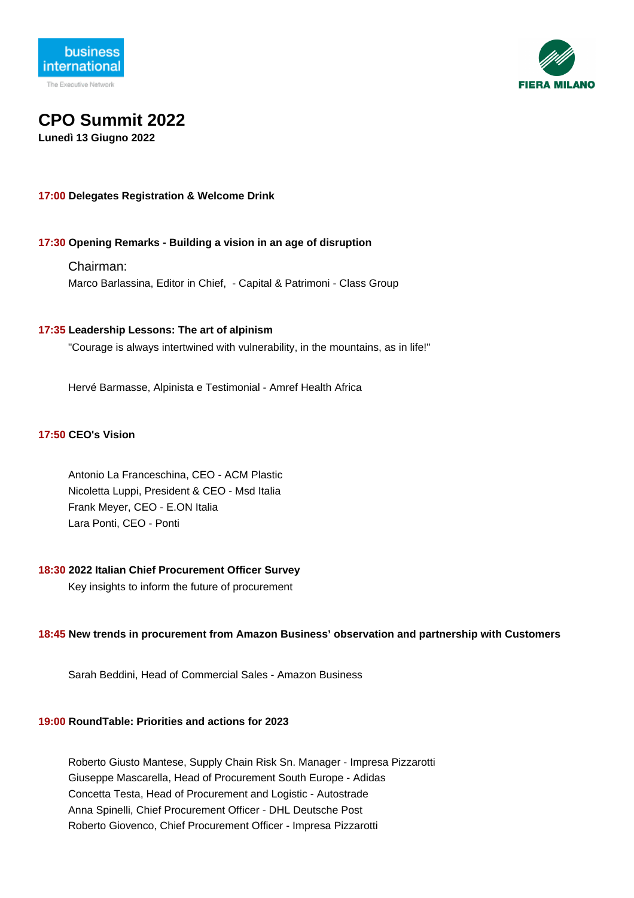



# **CPO Summit 2022**

**Lunedì 13 Giugno 2022**

## **17:00 Delegates Registration & Welcome Drink**

## **17:30 Opening Remarks - Building a vision in an age of disruption**

Chairman:

Marco Barlassina, Editor in Chief, - Capital & Patrimoni - Class Group

## **17:35 Leadership Lessons: The art of alpinism**

"Courage is always intertwined with vulnerability, in the mountains, as in life!"

Hervé Barmasse, Alpinista e Testimonial - Amref Health Africa

## **17:50 CEO's Vision**

Antonio La Franceschina, CEO - ACM Plastic Nicoletta Luppi, President & CEO - Msd Italia Frank Meyer, CEO - E.ON Italia Lara Ponti, CEO - Ponti

## **18:30 2022 Italian Chief Procurement Officer Survey**

Key insights to inform the future of procurement

## **18:45 New trends in procurement from Amazon Business' observation and partnership with Customers**

Sarah Beddini, Head of Commercial Sales - Amazon Business

## **19:00 RoundTable: Priorities and actions for 2023**

Roberto Giusto Mantese, Supply Chain Risk Sn. Manager - Impresa Pizzarotti Giuseppe Mascarella, Head of Procurement South Europe - Adidas Concetta Testa, Head of Procurement and Logistic - Autostrade Anna Spinelli, Chief Procurement Officer - DHL Deutsche Post Roberto Giovenco, Chief Procurement Officer - Impresa Pizzarotti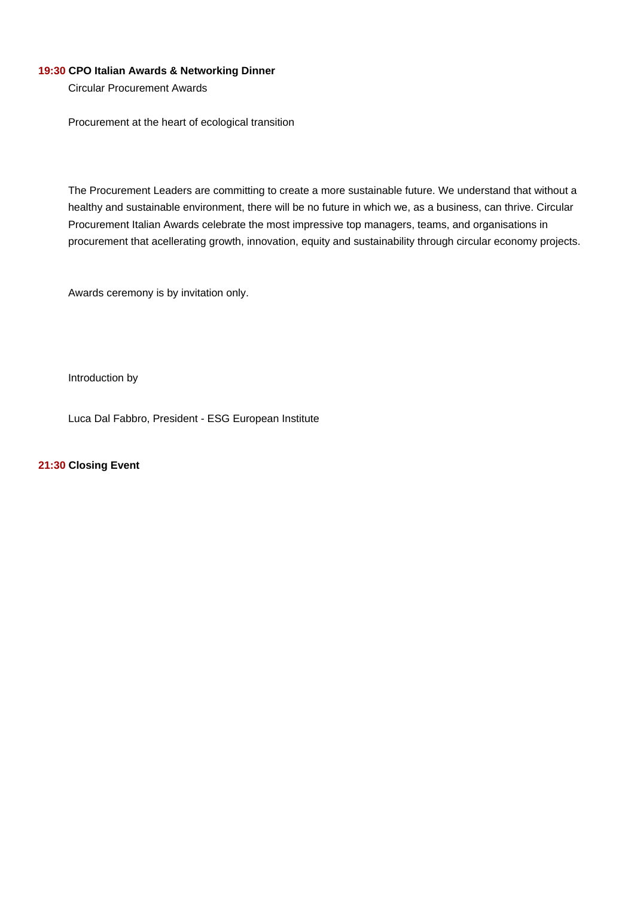## **19:30 CPO Italian Awards & Networking Dinner**

Circular Procurement Awards

Procurement at the heart of ecological transition

The Procurement Leaders are committing to create a more sustainable future. We understand that without a healthy and sustainable environment, there will be no future in which we, as a business, can thrive. Circular Procurement Italian Awards celebrate the most impressive top managers, teams, and organisations in procurement that acellerating growth, innovation, equity and sustainability through circular economy projects.

Awards ceremony is by invitation only.

Introduction by

Luca Dal Fabbro, President - ESG European Institute

**21:30 Closing Event**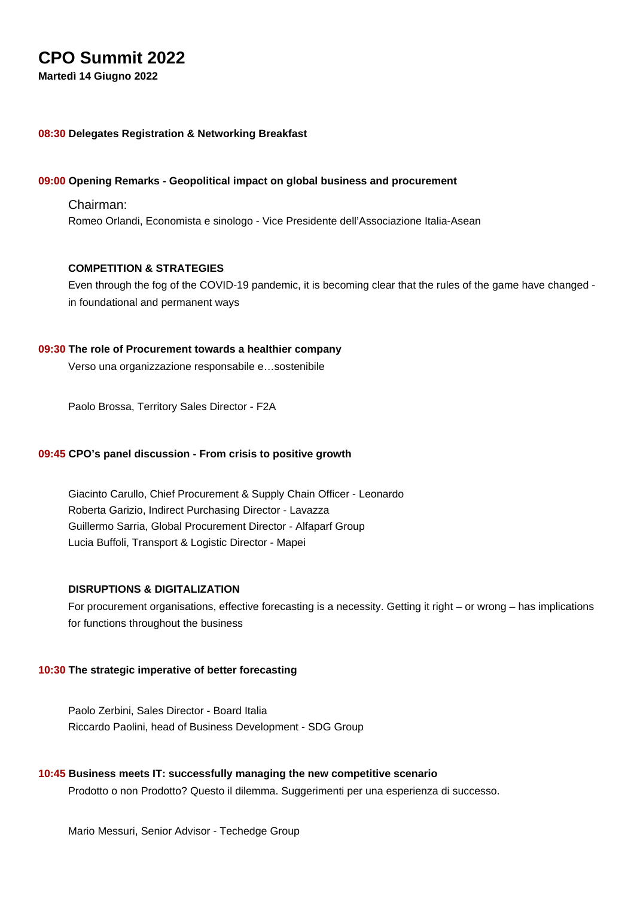## **CPO Summit 2022**

**Martedì 14 Giugno 2022**

## **08:30 Delegates Registration & Networking Breakfast**

## **09:00 Opening Remarks - Geopolitical impact on global business and procurement**

## Chairman:

Romeo Orlandi, Economista e sinologo - Vice Presidente dell'Associazione Italia-Asean

## **COMPETITION & STRATEGIES**

Even through the fog of the COVID-19 pandemic, it is becoming clear that the rules of the game have changed in foundational and permanent ways

## **09:30 The role of Procurement towards a healthier company**

Verso una organizzazione responsabile e…sostenibile

Paolo Brossa, Territory Sales Director - F2A

#### **09:45 CPO's panel discussion - From crisis to positive growth**

Giacinto Carullo, Chief Procurement & Supply Chain Officer - Leonardo Roberta Garizio, Indirect Purchasing Director - Lavazza Guillermo Sarria, Global Procurement Director - Alfaparf Group Lucia Buffoli, Transport & Logistic Director - Mapei

## **DISRUPTIONS & DIGITALIZATION**

For procurement organisations, effective forecasting is a necessity. Getting it right – or wrong – has implications for functions throughout the business

#### **10:30 The strategic imperative of better forecasting**

Paolo Zerbini, Sales Director - Board Italia Riccardo Paolini, head of Business Development - SDG Group

#### **10:45 Business meets IT: successfully managing the new competitive scenario**

Prodotto o non Prodotto? Questo il dilemma. Suggerimenti per una esperienza di successo.

Mario Messuri, Senior Advisor - Techedge Group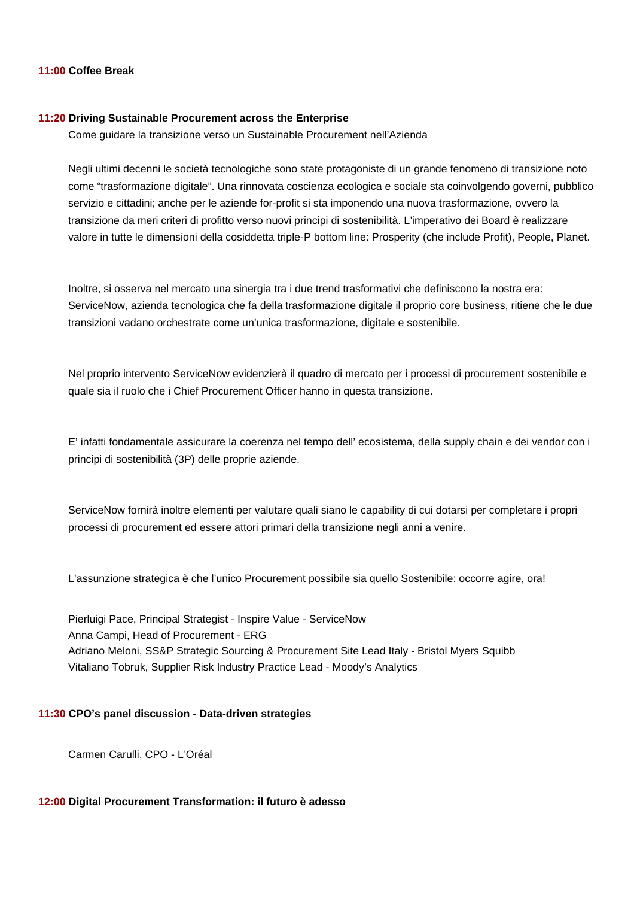#### **11:00 Coffee Break**

#### **11:20 Driving Sustainable Procurement across the Enterprise**

Come guidare la transizione verso un Sustainable Procurement nell'Azienda

Negli ultimi decenni le società tecnologiche sono state protagoniste di un grande fenomeno di transizione noto come "trasformazione digitale". Una rinnovata coscienza ecologica e sociale sta coinvolgendo governi, pubblico servizio e cittadini; anche per le aziende for-profit si sta imponendo una nuova trasformazione, ovvero la transizione da meri criteri di profitto verso nuovi principi di sostenibilità. L'imperativo dei Board è realizzare valore in tutte le dimensioni della cosiddetta triple-P bottom line: Prosperity (che include Profit), People, Planet.

Inoltre, si osserva nel mercato una sinergia tra i due trend trasformativi che definiscono la nostra era: ServiceNow, azienda tecnologica che fa della trasformazione digitale il proprio core business, ritiene che le due transizioni vadano orchestrate come un'unica trasformazione, digitale e sostenibile.

Nel proprio intervento ServiceNow evidenzierà il quadro di mercato per i processi di procurement sostenibile e quale sia il ruolo che i Chief Procurement Officer hanno in questa transizione.

E' infatti fondamentale assicurare la coerenza nel tempo dell' ecosistema, della supply chain e dei vendor con i principi di sostenibilità (3P) delle proprie aziende.

ServiceNow fornirà inoltre elementi per valutare quali siano le capability di cui dotarsi per completare i propri processi di procurement ed essere attori primari della transizione negli anni a venire.

L'assunzione strategica è che l'unico Procurement possibile sia quello Sostenibile: occorre agire, ora!

Pierluigi Pace, Principal Strategist - Inspire Value - ServiceNow Anna Campi, Head of Procurement - ERG Adriano Meloni, SS&P Strategic Sourcing & Procurement Site Lead Italy - Bristol Myers Squibb Vitaliano Tobruk, Supplier Risk Industry Practice Lead - Moody's Analytics

## **11:30 CPO's panel discussion - Data-driven strategies**

Carmen Carulli, CPO - L'Oréal

## **12:00 Digital Procurement Transformation: il futuro è adesso**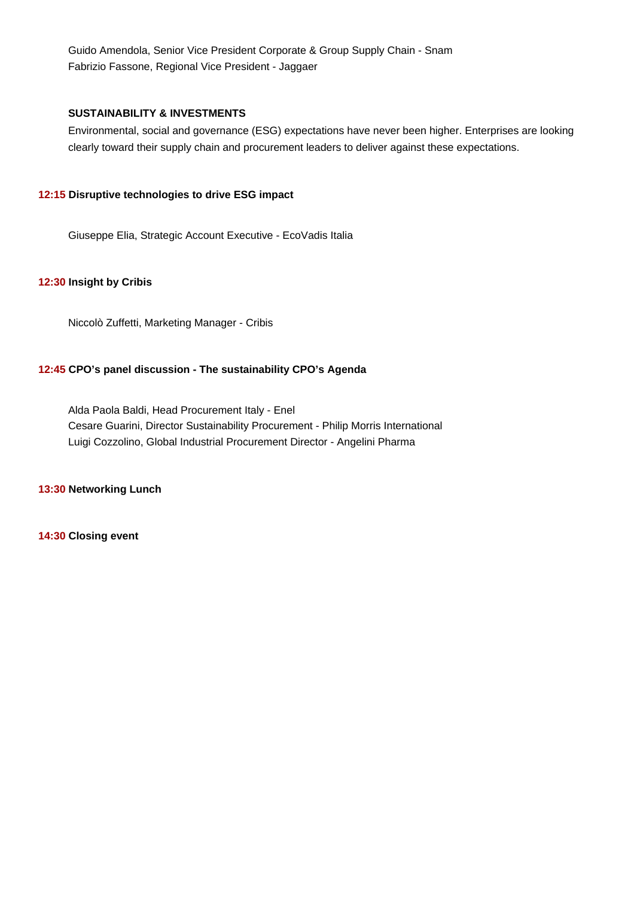Guido Amendola, Senior Vice President Corporate & Group Supply Chain - Snam Fabrizio Fassone, Regional Vice President - Jaggaer

## **SUSTAINABILITY & INVESTMENTS**

Environmental, social and governance (ESG) expectations have never been higher. Enterprises are looking clearly toward their supply chain and procurement leaders to deliver against these expectations.

## **12:15 Disruptive technologies to drive ESG impact**

Giuseppe Elia, Strategic Account Executive - EcoVadis Italia

## **12:30 Insight by Cribis**

Niccolò Zuffetti, Marketing Manager - Cribis

## **12:45 CPO's panel discussion - The sustainability CPO's Agenda**

Alda Paola Baldi, Head Procurement Italy - Enel Cesare Guarini, Director Sustainability Procurement - Philip Morris International Luigi Cozzolino, Global Industrial Procurement Director - Angelini Pharma

### **13:30 Networking Lunch**

**14:30 Closing event**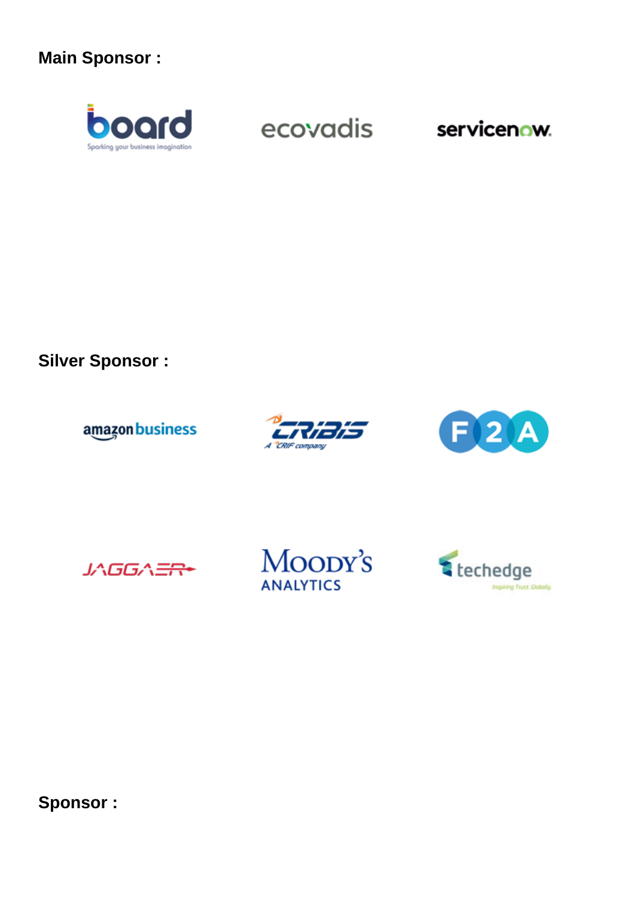## **Main Sponsor :**



ecovadis

servicenow.

## **Silver Sponsor :**

amazon business







**Sponsor :**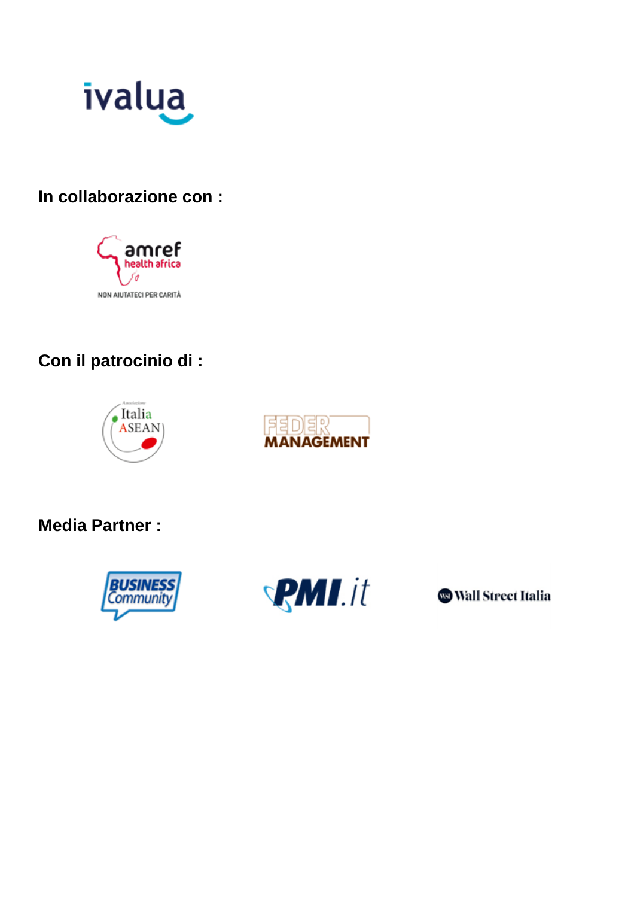

## **In collaborazione con :**



## **Con il patrocinio di :**





## **Media Partner :**